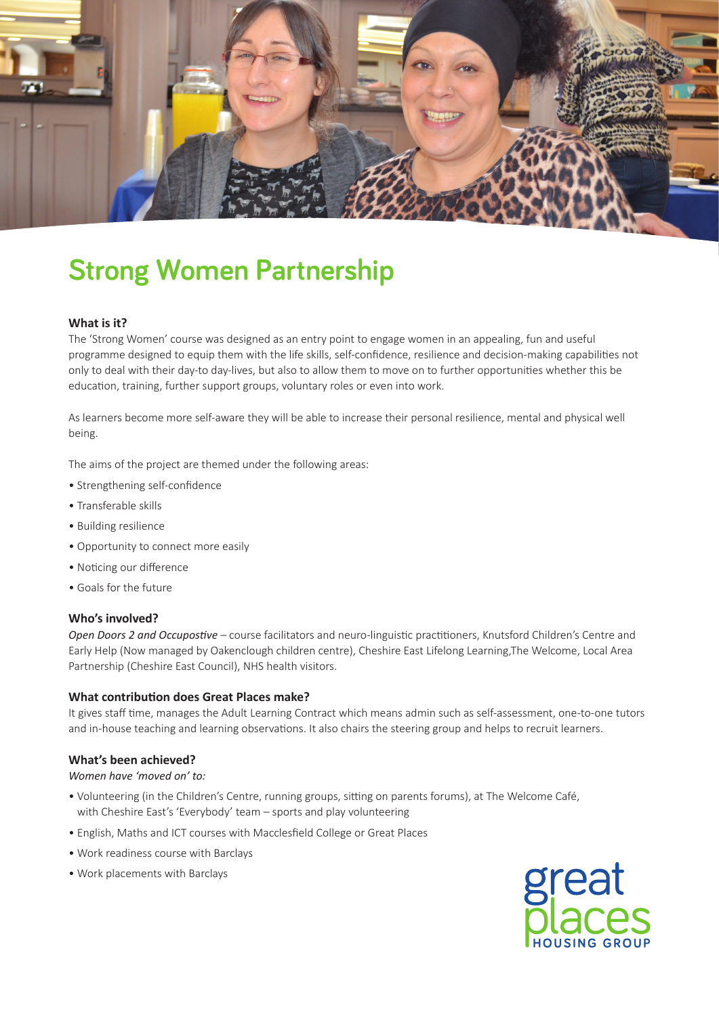

# **Strong Women Partnership**

# **What is it?**

The 'Strong Women' course was designed as an entry point to engage women in an appealing, fun and useful programme designed to equip them with the life skills, self-confidence, resilience and decision-making capabilities not only to deal with their day-to day-lives, but also to allow them to move on to further opportunities whether this be education, training, further support groups, voluntary roles or even into work.

As learners become more self-aware they will be able to increase their personal resilience, mental and physical well being.

The aims of the project are themed under the following areas:

- Strengthening self-confidence
- Transferable skills
- Building resilience
- Opportunity to connect more easily
- Noticing our difference
- Goals for the future

# **Who's involved?**

*Open Doors 2 and Occupostive* – course facilitators and neuro-linguistic practitioners, Knutsford Children's Centre and Early Help (Now managed by Oakenclough children centre), Cheshire East Lifelong Learning,The Welcome, Local Area Partnership (Cheshire East Council), NHS health visitors.

# **What contribution does Great Places make?**

It gives staff time, manages the Adult Learning Contract which means admin such as self-assessment, one-to-one tutors and in-house teaching and learning observations. It also chairs the steering group and helps to recruit learners.

# **What's been achieved?**

*Women have 'moved on' to:* 

- Volunteering (in the Children's Centre, running groups, sitting on parents forums), at The Welcome Café, with Cheshire East's 'Everybody' team – sports and play volunteering
- English, Maths and ICT courses with Macclesfield College or Great Places
- Work readiness course with Barclays
- Work placements with Barclays